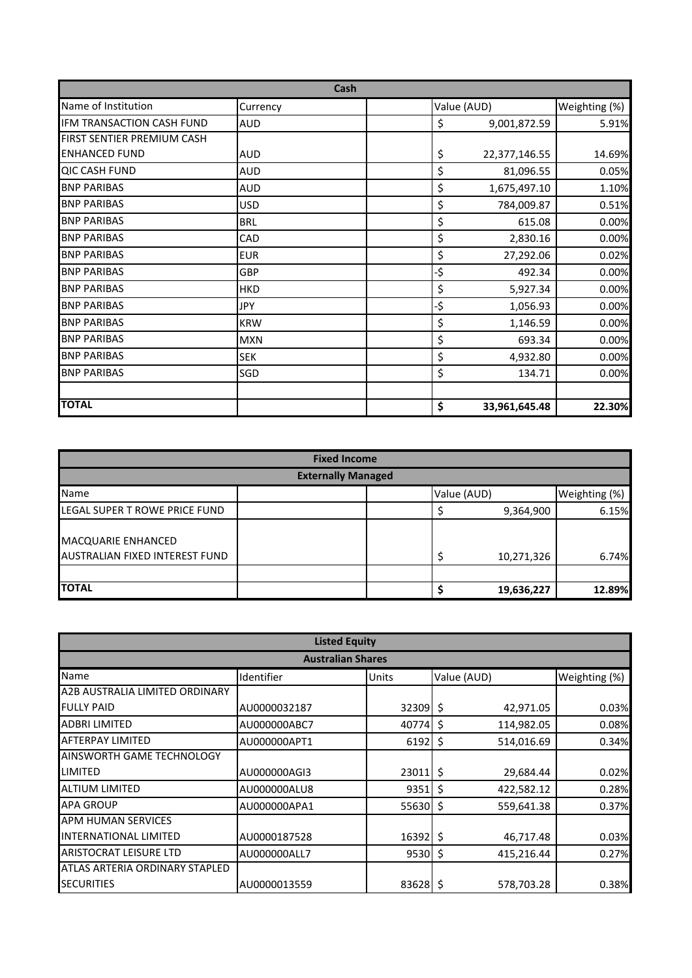| Cash                       |            |  |     |               |               |
|----------------------------|------------|--|-----|---------------|---------------|
| Name of Institution        | Currency   |  |     | Value (AUD)   | Weighting (%) |
| IFM TRANSACTION CASH FUND  | <b>AUD</b> |  | \$  | 9,001,872.59  | 5.91%         |
| FIRST SENTIER PREMIUM CASH |            |  |     |               |               |
| <b>ENHANCED FUND</b>       | <b>AUD</b> |  | \$  | 22,377,146.55 | 14.69%        |
| <b>QIC CASH FUND</b>       | <b>AUD</b> |  | \$  | 81,096.55     | 0.05%         |
| <b>BNP PARIBAS</b>         | <b>AUD</b> |  | \$  | 1,675,497.10  | 1.10%         |
| <b>BNP PARIBAS</b>         | <b>USD</b> |  | \$  | 784,009.87    | 0.51%         |
| <b>BNP PARIBAS</b>         | <b>BRL</b> |  | \$  | 615.08        | 0.00%         |
| <b>BNP PARIBAS</b>         | CAD        |  | \$  | 2,830.16      | 0.00%         |
| <b>BNP PARIBAS</b>         | <b>EUR</b> |  | \$  | 27,292.06     | 0.02%         |
| <b>BNP PARIBAS</b>         | GBP        |  | -\$ | 492.34        | 0.00%         |
| <b>BNP PARIBAS</b>         | <b>HKD</b> |  | \$  | 5,927.34      | 0.00%         |
| <b>BNP PARIBAS</b>         | <b>JPY</b> |  | -\$ | 1,056.93      | 0.00%         |
| <b>BNP PARIBAS</b>         | <b>KRW</b> |  | \$  | 1,146.59      | 0.00%         |
| <b>BNP PARIBAS</b>         | <b>MXN</b> |  | \$  | 693.34        | 0.00%         |
| <b>BNP PARIBAS</b>         | <b>SEK</b> |  | \$  | 4,932.80      | 0.00%         |
| <b>BNP PARIBAS</b>         | SGD        |  | \$  | 134.71        | 0.00%         |
|                            |            |  |     |               |               |
| <b>TOTAL</b>               |            |  | \$  | 33,961,645.48 | 22.30%        |

| <b>Fixed Income</b>                                  |  |             |               |  |
|------------------------------------------------------|--|-------------|---------------|--|
| <b>Externally Managed</b>                            |  |             |               |  |
| Name                                                 |  | Value (AUD) | Weighting (%) |  |
| LEGAL SUPER T ROWE PRICE FUND                        |  | 9,364,900   | 6.15%         |  |
| MACQUARIE ENHANCED<br>AUSTRALIAN FIXED INTEREST FUND |  | 10,271,326  | 6.74%         |  |
|                                                      |  |             |               |  |
| <b>TOTAL</b>                                         |  | 19,636,227  | 12.89%        |  |

| <b>Listed Equity</b>           |              |               |                  |               |  |
|--------------------------------|--------------|---------------|------------------|---------------|--|
| <b>Australian Shares</b>       |              |               |                  |               |  |
| Name                           | Identifier   | Units         | Value (AUD)      | Weighting (%) |  |
| A2B AUSTRALIA LIMITED ORDINARY |              |               |                  |               |  |
| <b>FULLY PAID</b>              | AU0000032187 | 32309         | \$<br>42,971.05  | 0.03%         |  |
| <b>ADBRI LIMITED</b>           | AU000000ABC7 | 40774         | 114,982.05<br>Ŝ. | 0.08%         |  |
| <b>AFTERPAY LIMITED</b>        | AU000000APT1 | 6192          | \$<br>514,016.69 | 0.34%         |  |
| AINSWORTH GAME TECHNOLOGY      |              |               |                  |               |  |
| LIMITED                        | AU000000AGI3 | $23011$ \$    | 29,684.44        | 0.02%         |  |
| <b>ALTIUM LIMITED</b>          | AU000000ALU8 | 9351          | 422,582.12<br>\$ | 0.28%         |  |
| <b>APA GROUP</b>               | AU000000APA1 | 55630         | \$<br>559,641.38 | 0.37%         |  |
| <b>APM HUMAN SERVICES</b>      |              |               |                  |               |  |
| <b>INTERNATIONAL LIMITED</b>   | AU0000187528 | 16392         | 46,717.48<br>-\$ | 0.03%         |  |
| ARISTOCRAT LEISURE LTD         | AU000000ALL7 | $9530 \mid 5$ | 415,216.44       | 0.27%         |  |
| ATLAS ARTERIA ORDINARY STAPLED |              |               |                  |               |  |
| <b>SECURITIES</b>              | AU0000013559 | 83628 \$      | 578,703.28       | 0.38%         |  |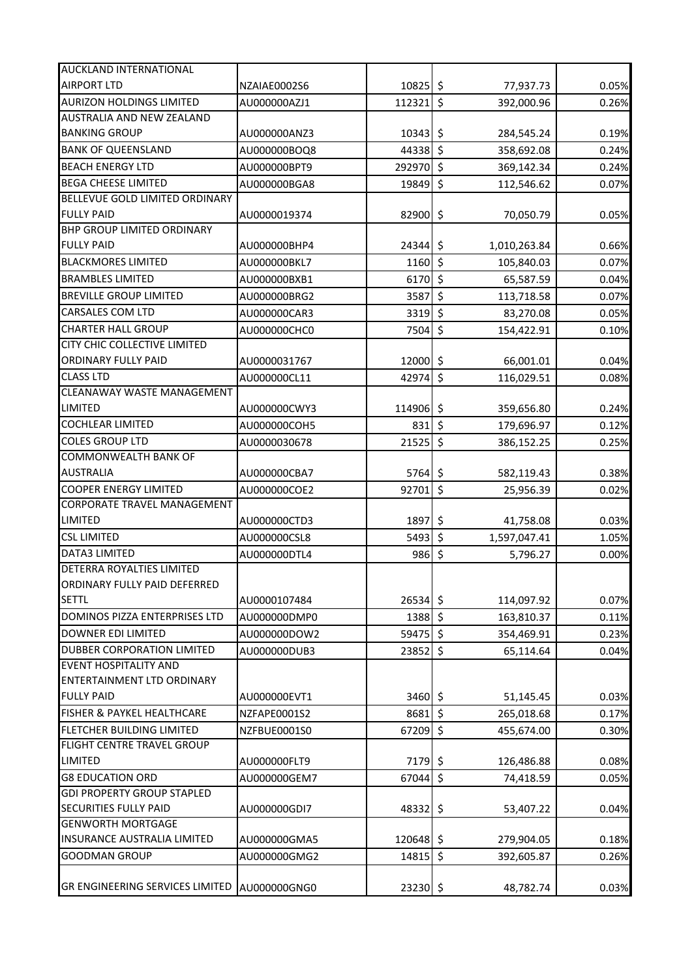| AUCKLAND INTERNATIONAL                       |              |            |                      |              |       |
|----------------------------------------------|--------------|------------|----------------------|--------------|-------|
| <b>AIRPORT LTD</b>                           | NZAIAE0002S6 | $10825$ \$ |                      | 77,937.73    | 0.05% |
| <b>AURIZON HOLDINGS LIMITED</b>              | AU000000AZJ1 | 112321     | $\zeta$              | 392,000.96   | 0.26% |
| <b>AUSTRALIA AND NEW ZEALAND</b>             |              |            |                      |              |       |
| <b>BANKING GROUP</b>                         | AU000000ANZ3 | 10343      | \$                   | 284,545.24   | 0.19% |
| <b>BANK OF QUEENSLAND</b>                    | AU000000BOQ8 | 44338      | $\boldsymbol{\zeta}$ | 358,692.08   | 0.24% |
| <b>BEACH ENERGY LTD</b>                      | AU000000BPT9 | 292970     | $\boldsymbol{\zeta}$ | 369,142.34   | 0.24% |
| <b>BEGA CHEESE LIMITED</b>                   | AU000000BGA8 | 19849 \$   |                      | 112,546.62   | 0.07% |
| BELLEVUE GOLD LIMITED ORDINARY               |              |            |                      |              |       |
| <b>FULLY PAID</b>                            | AU0000019374 | 82900      | \$                   | 70,050.79    | 0.05% |
| <b>BHP GROUP LIMITED ORDINARY</b>            |              |            |                      |              |       |
| <b>FULLY PAID</b>                            | AU000000BHP4 | 24344      | \$                   | 1,010,263.84 | 0.66% |
| <b>BLACKMORES LIMITED</b>                    | AU000000BKL7 | 1160       | $\zeta$              | 105,840.03   | 0.07% |
| <b>BRAMBLES LIMITED</b>                      | AU000000BXB1 | 6170       | $\boldsymbol{\zeta}$ | 65,587.59    | 0.04% |
| <b>BREVILLE GROUP LIMITED</b>                | AU000000BRG2 | 3587       | $\boldsymbol{\zeta}$ | 113,718.58   | 0.07% |
| <b>CARSALES COM LTD</b>                      | AU000000CAR3 | 3319       | $\zeta$              | 83,270.08    | 0.05% |
| <b>CHARTER HALL GROUP</b>                    | AU000000CHC0 | 7504       | \$                   | 154,422.91   | 0.10% |
| CITY CHIC COLLECTIVE LIMITED                 |              |            |                      |              |       |
| <b>ORDINARY FULLY PAID</b>                   | AU0000031767 | 12000      | $\zeta$              | 66,001.01    | 0.04% |
| <b>CLASS LTD</b>                             | AU000000CL11 | 42974      | \$                   | 116,029.51   | 0.08% |
| <b>CLEANAWAY WASTE MANAGEMENT</b>            |              |            |                      |              |       |
| <b>LIMITED</b>                               | AU000000CWY3 | 114906 \$  |                      | 359,656.80   | 0.24% |
| <b>COCHLEAR LIMITED</b>                      | AU000000COH5 | 831        | $\zeta$              | 179,696.97   | 0.12% |
| <b>COLES GROUP LTD</b>                       | AU0000030678 | 21525      | $\zeta$              | 386,152.25   | 0.25% |
| <b>COMMONWEALTH BANK OF</b>                  |              |            |                      |              |       |
| <b>AUSTRALIA</b>                             | AU000000CBA7 | 5764       | \$                   | 582,119.43   | 0.38% |
| <b>COOPER ENERGY LIMITED</b>                 | AU000000COE2 | 92701      | \$                   | 25,956.39    | 0.02% |
| <b>CORPORATE TRAVEL MANAGEMENT</b>           |              |            |                      |              |       |
| <b>LIMITED</b>                               | AU000000CTD3 | 1897       | \$                   | 41,758.08    | 0.03% |
| <b>CSL LIMITED</b>                           | AU000000CSL8 | 5493       | $\zeta$              | 1,597,047.41 | 1.05% |
| <b>DATA3 LIMITED</b>                         | AU000000DTL4 | 986        | $\boldsymbol{\zeta}$ | 5,796.27     | 0.00% |
| DETERRA ROYALTIES LIMITED                    |              |            |                      |              |       |
| ORDINARY FULLY PAID DEFERRED                 |              |            |                      |              |       |
| <b>SETTL</b>                                 | AU0000107484 | $26534$ \$ |                      | 114,097.92   | 0.07% |
| DOMINOS PIZZA ENTERPRISES LTD                | AU000000DMP0 | 1388       | \$                   | 163,810.37   | 0.11% |
| <b>DOWNER EDI LIMITED</b>                    | AU000000DOW2 | 59475 \$   |                      | 354,469.91   | 0.23% |
| DUBBER CORPORATION LIMITED                   | AU000000DUB3 | 23852      | $\zeta$              | 65,114.64    | 0.04% |
| <b>EVENT HOSPITALITY AND</b>                 |              |            |                      |              |       |
| <b>ENTERTAINMENT LTD ORDINARY</b>            |              |            |                      |              |       |
| <b>FULLY PAID</b>                            | AU000000EVT1 | 3460       | \$                   | 51,145.45    | 0.03% |
| FISHER & PAYKEL HEALTHCARE                   | NZFAPE0001S2 | 8681       | \$                   | 265,018.68   | 0.17% |
| FLETCHER BUILDING LIMITED                    | NZFBUE0001S0 | 67209      | \$                   | 455,674.00   | 0.30% |
| FLIGHT CENTRE TRAVEL GROUP                   |              |            |                      |              |       |
| <b>LIMITED</b>                               | AU000000FLT9 | 7179       | \$                   | 126,486.88   | 0.08% |
| <b>G8 EDUCATION ORD</b>                      | AU000000GEM7 | 67044      | \$                   | 74,418.59    | 0.05% |
| <b>GDI PROPERTY GROUP STAPLED</b>            |              |            |                      |              |       |
| SECURITIES FULLY PAID                        | AU000000GDI7 | 48332      | \$                   | 53,407.22    | 0.04% |
| <b>GENWORTH MORTGAGE</b>                     |              |            |                      |              |       |
| INSURANCE AUSTRALIA LIMITED                  | AU000000GMA5 | 120648     | \$                   | 279,904.05   | 0.18% |
| <b>GOODMAN GROUP</b>                         | AU000000GMG2 | 14815      | \$                   | 392,605.87   | 0.26% |
|                                              |              |            |                      |              |       |
| GR ENGINEERING SERVICES LIMITED AU000000GNG0 |              | $23230$ \$ |                      | 48,782.74    | 0.03% |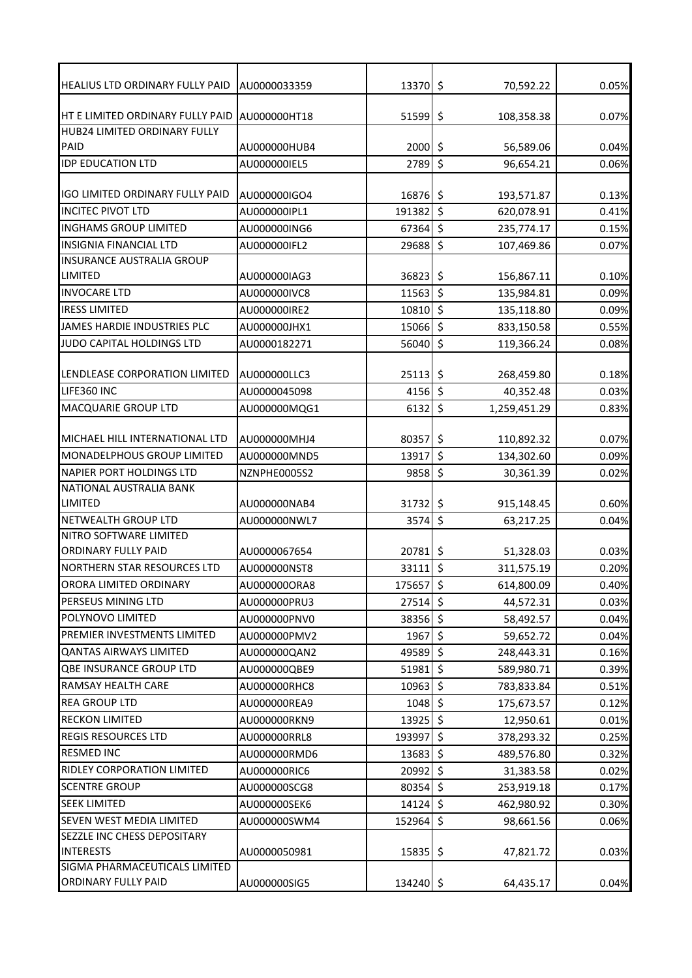| <b>HEALIUS LTD ORDINARY FULLY PAID</b>          | AU0000033359 | 13370 \$    |                      | 70,592.22    | 0.05% |
|-------------------------------------------------|--------------|-------------|----------------------|--------------|-------|
|                                                 |              |             |                      |              |       |
| HT E LIMITED ORDINARY FULLY PAID                | AU000000HT18 | 51599       | \$                   | 108,358.38   | 0.07% |
| HUB24 LIMITED ORDINARY FULLY                    |              |             |                      |              |       |
| PAID                                            | AU000000HUB4 | 2000        | \$                   | 56,589.06    | 0.04% |
| <b>IDP EDUCATION LTD</b>                        | AU000000IEL5 | 2789        | $\boldsymbol{\zeta}$ | 96,654.21    | 0.06% |
|                                                 |              |             |                      |              |       |
| IGO LIMITED ORDINARY FULLY PAID                 | AU000000IGO4 | 16876 \$    |                      | 193,571.87   | 0.13% |
| <b>INCITEC PIVOT LTD</b>                        | AU000000IPL1 | 191382      | \$                   | 620,078.91   | 0.41% |
| <b>INGHAMS GROUP LIMITED</b>                    | AU000000ING6 | 67364       | $\zeta$              | 235,774.17   | 0.15% |
| <b>INSIGNIA FINANCIAL LTD</b>                   | AU000000IFL2 | 29688       | $\zeta$              | 107,469.86   | 0.07% |
| INSURANCE AUSTRALIA GROUP                       |              |             |                      |              |       |
| LIMITED                                         | AU000000IAG3 | 36823 \$    |                      | 156,867.11   | 0.10% |
| <b>INVOCARE LTD</b>                             | AU000000IVC8 | $11563$ \$  |                      | 135,984.81   | 0.09% |
| <b>IRESS LIMITED</b>                            | AU000000IRE2 | 10810       | \$                   | 135,118.80   | 0.09% |
| JAMES HARDIE INDUSTRIES PLC                     | AU000000JHX1 | 15066 \$    |                      | 833,150.58   | 0.55% |
| JUDO CAPITAL HOLDINGS LTD                       | AU0000182271 | 56040       | \$                   | 119,366.24   | 0.08% |
|                                                 |              |             |                      |              |       |
| LENDLEASE CORPORATION LIMITED                   | AU000000LLC3 | 25113       | \$                   | 268,459.80   | 0.18% |
| LIFE360 INC                                     | AU0000045098 | $4156$ \$   |                      | 40,352.48    | 0.03% |
| MACQUARIE GROUP LTD                             | AU000000MQG1 | 6132        | \$                   | 1,259,451.29 | 0.83% |
|                                                 |              |             |                      |              |       |
| MICHAEL HILL INTERNATIONAL LTD                  | AU000000MHJ4 | 80357       | \$                   | 110,892.32   | 0.07% |
| MONADELPHOUS GROUP LIMITED                      | AU000000MND5 | 13917       | $\zeta$              | 134,302.60   | 0.09% |
| <b>NAPIER PORT HOLDINGS LTD</b>                 | NZNPHE0005S2 | 9858        | \$                   | 30,361.39    | 0.02% |
| NATIONAL AUSTRALIA BANK                         |              |             |                      |              |       |
| LIMITED                                         | AU000000NAB4 | 31732       | \$                   | 915,148.45   | 0.60% |
| <b>NETWEALTH GROUP LTD</b>                      | AU000000NWL7 | 3574        | $\zeta$              | 63,217.25    | 0.04% |
| NITRO SOFTWARE LIMITED                          |              |             |                      |              |       |
| ORDINARY FULLY PAID                             | AU0000067654 | 20781       | \$                   | 51,328.03    | 0.03% |
| <b>NORTHERN STAR RESOURCES LTD</b>              | AU000000NST8 | $33111$ \$  |                      | 311,575.19   | 0.20% |
| ORORA LIMITED ORDINARY                          | AU000000ORA8 | 175657 \$   |                      | 614,800.09   | 0.40% |
| PERSEUS MINING LTD                              | AU000000PRU3 | $27514$ \$  |                      | 44,572.31    | 0.03% |
| POLYNOVO LIMITED                                | AU000000PNV0 | 38356 \$    |                      | 58,492.57    | 0.04% |
| PREMIER INVESTMENTS LIMITED                     | AU000000PMV2 | 1967        | \$                   | 59,652.72    | 0.04% |
| <b>QANTAS AIRWAYS LIMITED</b>                   | AU000000QAN2 | 49589 \$    |                      | 248,443.31   | 0.16% |
| QBE INSURANCE GROUP LTD                         | AU000000QBE9 | $51981$ \$  |                      | 589,980.71   | 0.39% |
| RAMSAY HEALTH CARE                              | AU000000RHC8 | 10963 \$    |                      | 783,833.84   | 0.51% |
| <b>REA GROUP LTD</b>                            | AU000000REA9 | 1048 \$     |                      | 175,673.57   | 0.12% |
| RECKON LIMITED                                  | AU000000RKN9 | $13925$ \$  |                      | 12,950.61    | 0.01% |
| <b>REGIS RESOURCES LTD</b>                      | AU000000RRL8 | 193997 \$   |                      | 378,293.32   | 0.25% |
| <b>RESMED INC</b>                               | AU000000RMD6 | $13683$ \$  |                      | 489,576.80   | 0.32% |
| RIDLEY CORPORATION LIMITED                      | AU000000RIC6 | 20992 \$    |                      |              | 0.02% |
| <b>SCENTRE GROUP</b>                            |              | 80354 \$    |                      | 31,383.58    |       |
|                                                 | AU000000SCG8 |             |                      | 253,919.18   | 0.17% |
| <b>SEEK LIMITED</b>                             | AU000000SEK6 | $14124$ \$  |                      | 462,980.92   | 0.30% |
| SEVEN WEST MEDIA LIMITED                        | AU000000SWM4 | 152964      | \$                   | 98,661.56    | 0.06% |
| SEZZLE INC CHESS DEPOSITARY<br><b>INTERESTS</b> |              |             |                      |              |       |
| SIGMA PHARMACEUTICALS LIMITED                   | AU0000050981 | $15835$ \$  |                      | 47,821.72    | 0.03% |
| ORDINARY FULLY PAID                             | AU000000SIG5 | $134240$ \$ |                      | 64,435.17    | 0.04% |
|                                                 |              |             |                      |              |       |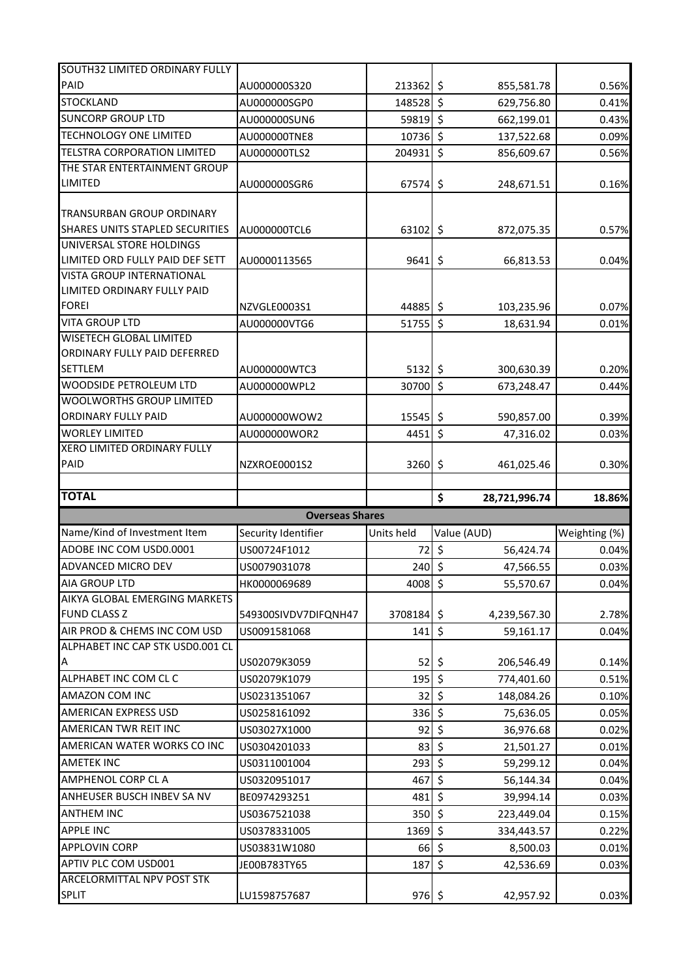| SOUTH32 LIMITED ORDINARY FULLY             |                        |            |                       |                |
|--------------------------------------------|------------------------|------------|-----------------------|----------------|
| PAID                                       | AU000000S320           | 213362 \$  | 855,581.78            | 0.56%          |
| <b>STOCKLAND</b>                           | AU000000SGP0           | 148528     | $\zeta$<br>629,756.80 | 0.41%          |
| <b>SUNCORP GROUP LTD</b>                   | AU000000SUN6           | 59819      | $\zeta$<br>662,199.01 | 0.43%          |
| <b>TECHNOLOGY ONE LIMITED</b>              | AU000000TNE8           | 10736 \$   | 137,522.68            | 0.09%          |
| TELSTRA CORPORATION LIMITED                | AU000000TLS2           | 204931     | $\zeta$<br>856,609.67 | 0.56%          |
| THE STAR ENTERTAINMENT GROUP               |                        |            |                       |                |
| <b>LIMITED</b>                             | AU000000SGR6           | 67574      | \$<br>248,671.51      | 0.16%          |
|                                            |                        |            |                       |                |
| TRANSURBAN GROUP ORDINARY                  |                        |            |                       |                |
| <b>SHARES UNITS STAPLED SECURITIES</b>     | AU000000TCL6           | 63102 \$   | 872,075.35            | 0.57%          |
| UNIVERSAL STORE HOLDINGS                   |                        |            |                       |                |
| LIMITED ORD FULLY PAID DEF SETT            | AU0000113565           | 9641       | \$<br>66,813.53       | 0.04%          |
| <b>VISTA GROUP INTERNATIONAL</b>           |                        |            |                       |                |
| LIMITED ORDINARY FULLY PAID                |                        |            |                       |                |
| <b>FOREI</b>                               | NZVGLE0003S1           | 44885 \$   | 103,235.96            | 0.07%          |
| <b>VITA GROUP LTD</b>                      | AU000000VTG6           | 51755      | $\zeta$<br>18,631.94  | 0.01%          |
| <b>WISETECH GLOBAL LIMITED</b>             |                        |            |                       |                |
| ORDINARY FULLY PAID DEFERRED               |                        |            |                       |                |
| <b>SETTLEM</b>                             | AU000000WTC3           | $5132$ \$  | 300,630.39            | 0.20%          |
| WOODSIDE PETROLEUM LTD                     | AU000000WPL2           | 30700      | $\zeta$<br>673,248.47 | 0.44%          |
| WOOLWORTHS GROUP LIMITED                   |                        |            |                       |                |
| <b>ORDINARY FULLY PAID</b>                 | AU000000WOW2           | 15545      | \$<br>590,857.00      | 0.39%          |
| <b>WORLEY LIMITED</b>                      | AU000000WOR2           | 4451       | $\zeta$<br>47,316.02  | 0.03%          |
| XERO LIMITED ORDINARY FULLY<br>PAID        |                        |            |                       |                |
|                                            | NZXROE0001S2           | 3260       | \$<br>461,025.46      | 0.30%          |
|                                            |                        |            |                       |                |
|                                            |                        |            |                       |                |
| <b>TOTAL</b>                               |                        |            | \$<br>28,721,996.74   | 18.86%         |
|                                            | <b>Overseas Shares</b> |            |                       |                |
| Name/Kind of Investment Item               | Security Identifier    | Units held | Value (AUD)           | Weighting (%)  |
| ADOBE INC COM USD0.0001                    | US00724F1012           | 72         | $\zeta$<br>56,424.74  | 0.04%          |
| ADVANCED MICRO DEV                         | US0079031078           | 240        | \$<br>47,566.55       | 0.03%          |
| <b>AIA GROUP LTD</b>                       | HK0000069689           | $4008$ \$  | 55,570.67             | 0.04%          |
| AIKYA GLOBAL EMERGING MARKETS              |                        |            |                       |                |
| <b>FUND CLASS Z</b>                        | 549300SIVDV7DIFQNH47   | 3708184 \$ | 4,239,567.30          |                |
| AIR PROD & CHEMS INC COM USD               | US0091581068           | 141        | \$<br>59,161.17       | 2.78%<br>0.04% |
| ALPHABET INC CAP STK USD0.001 CL           |                        |            |                       |                |
| Α                                          | US02079K3059           | 52         | 206,546.49<br>\$.     | 0.14%          |
| ALPHABET INC COM CL C                      | US02079K1079           | 195        | $\zeta$<br>774,401.60 | 0.51%          |
| AMAZON COM INC                             | US0231351067           | 32         | \$<br>148,084.26      | 0.10%          |
| <b>AMERICAN EXPRESS USD</b>                | US0258161092           | 336        | \$<br>75,636.05       | 0.05%          |
| AMERICAN TWR REIT INC                      | US03027X1000           | 92         | $\zeta$<br>36,976.68  | 0.02%          |
| AMERICAN WATER WORKS CO INC                | US0304201033           | 83         | \$<br>21,501.27       | 0.01%          |
| <b>AMETEK INC</b>                          | US0311001004           | 293        | $\zeta$<br>59,299.12  | 0.04%          |
| <b>AMPHENOL CORP CL A</b>                  | US0320951017           | 467        | \$<br>56,144.34       | 0.04%          |
| ANHEUSER BUSCH INBEV SA NV                 | BE0974293251           | 481        | \$<br>39,994.14       | 0.03%          |
| <b>ANTHEM INC</b>                          | US0367521038           | 350        | $\zeta$<br>223,449.04 | 0.15%          |
| <b>APPLE INC</b>                           | US0378331005           | 1369       | $\zeta$<br>334,443.57 | 0.22%          |
| <b>APPLOVIN CORP</b>                       | US03831W1080           | 66         | $\zeta$<br>8,500.03   | 0.01%          |
| APTIV PLC COM USD001                       | JE00B783TY65           | 187        | \$<br>42,536.69       | 0.03%          |
| ARCELORMITTAL NPV POST STK<br><b>SPLIT</b> | LU1598757687           | $976$ \$   | 42,957.92             | 0.03%          |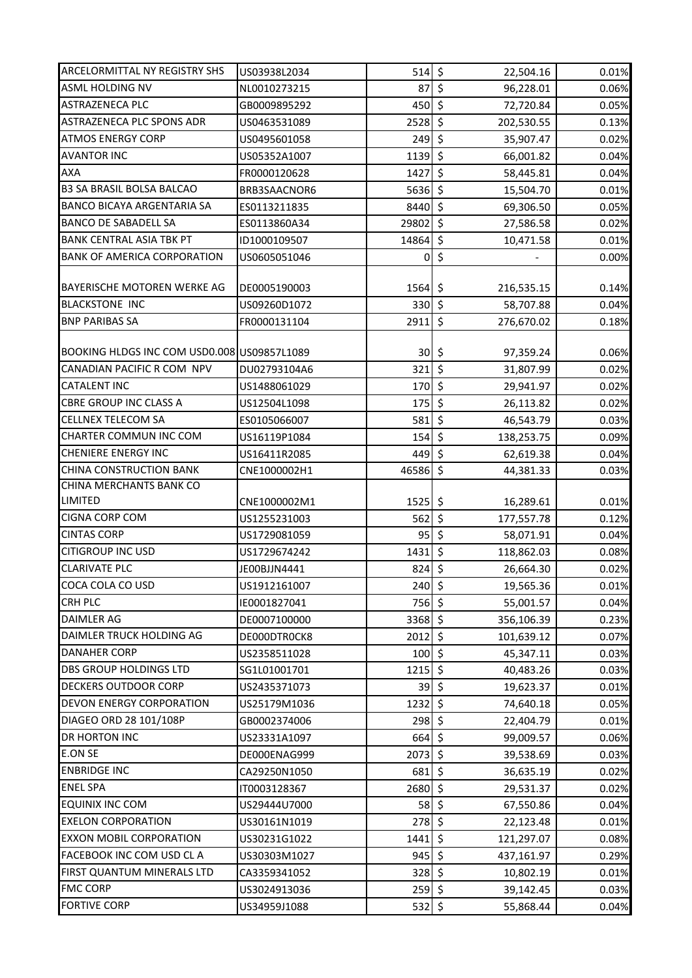| <b>ARCELORMITTAL NY REGISTRY SHS</b>        | US03938L2034 | $514$ \$          | 22,504.16                                   | 0.01% |
|---------------------------------------------|--------------|-------------------|---------------------------------------------|-------|
| <b>ASML HOLDING NV</b>                      | NL0010273215 | 87                | $\zeta$<br>96,228.01                        | 0.06% |
| ASTRAZENECA PLC                             | GB0009895292 | 450               | $\zeta$<br>72,720.84                        | 0.05% |
| ASTRAZENECA PLC SPONS ADR                   | US0463531089 | 2528              | $\zeta$<br>202,530.55                       | 0.13% |
| <b>ATMOS ENERGY CORP</b>                    | US0495601058 | 249               | $\zeta$<br>35,907.47                        | 0.02% |
| <b>AVANTOR INC</b>                          | US05352A1007 | 1139 \$           | 66,001.82                                   | 0.04% |
| AXA                                         | FR0000120628 | 1427              | $\zeta$<br>58,445.81                        | 0.04% |
| <b>B3 SA BRASIL BOLSA BALCAO</b>            | BRB3SAACNOR6 | $5636$ \$         | 15,504.70                                   | 0.01% |
| <b>BANCO BICAYA ARGENTARIA SA</b>           | ES0113211835 | 8440              | $\zeta$<br>69,306.50                        | 0.05% |
| <b>BANCO DE SABADELL SA</b>                 | ES0113860A34 | 29802 \$          | 27,586.58                                   | 0.02% |
| <b>BANK CENTRAL ASIA TBK PT</b>             | ID1000109507 | 14864             | $\boldsymbol{\dot{\varsigma}}$<br>10,471.58 | 0.01% |
| <b>BANK OF AMERICA CORPORATION</b>          | US0605051046 | 0                 | \$                                          | 0.00% |
|                                             |              |                   |                                             |       |
| BAYERISCHE MOTOREN WERKE AG                 | DE0005190003 | $1564$ \$         | 216,535.15                                  | 0.14% |
| <b>BLACKSTONE INC</b>                       | US09260D1072 | 330               | $\zeta$<br>58,707.88                        | 0.04% |
| <b>BNP PARIBAS SA</b>                       | FR0000131104 | $2911$ \$         | 276,670.02                                  | 0.18% |
|                                             |              |                   |                                             |       |
| BOOKING HLDGS INC COM USD0.008 US09857L1089 |              | 30 <sub>l</sub>   | \$<br>97,359.24                             | 0.06% |
| CANADIAN PACIFIC R COM NPV                  | DU02793104A6 | 321               | $\zeta$<br>31,807.99                        | 0.02% |
| CATALENT INC                                | US1488061029 | $170$ \$          | 29,941.97                                   | 0.02% |
| <b>CBRE GROUP INC CLASS A</b>               | US12504L1098 | 175               | $\overline{\xi}$<br>26,113.82               | 0.02% |
| <b>CELLNEX TELECOM SA</b>                   | ES0105066007 | 581               | $\zeta$<br>46,543.79                        | 0.03% |
| CHARTER COMMUN INC COM                      | US16119P1084 | 154               | $\zeta$<br>138,253.75                       | 0.09% |
| CHENIERE ENERGY INC                         | US16411R2085 | 449               | $\zeta$<br>62,619.38                        | 0.04% |
| CHINA CONSTRUCTION BANK                     | CNE1000002H1 | 46586             | $\zeta$<br>44,381.33                        | 0.03% |
| CHINA MERCHANTS BANK CO                     |              |                   |                                             |       |
| <b>LIMITED</b>                              | CNE1000002M1 | $1525$ \$         | 16,289.61                                   | 0.01% |
| <b>CIGNA CORP COM</b>                       | US1255231003 | 562               | $\zeta$<br>177,557.78                       | 0.12% |
| <b>CINTAS CORP</b>                          | US1729081059 | 95                | $\zeta$<br>58,071.91                        | 0.04% |
| <b>CITIGROUP INC USD</b>                    | US1729674242 | 1431              | $\zeta$<br>118,862.03                       | 0.08% |
| <b>CLARIVATE PLC</b>                        | JE00BJJN4441 | 824               | \$<br>26,664.30                             | 0.02% |
| COCA COLA CO USD                            | US1912161007 | $240 \frac{1}{5}$ | 19,565.36                                   | 0.01% |
| <b>CRH PLC</b>                              | IE0001827041 | $756$ \$          | 55,001.57                                   | 0.04% |
| DAIMLER AG                                  | DE0007100000 | 3368 \$           | 356,106.39                                  | 0.23% |
| DAIMLER TRUCK HOLDING AG                    | DE000DTR0CK8 | $2012 \mid 5$     | 101,639.12                                  | 0.07% |
| DANAHER CORP                                | US2358511028 | $100$ \$          | 45,347.11                                   | 0.03% |
| <b>DBS GROUP HOLDINGS LTD</b>               | SG1L01001701 | 1215              | \$<br>40,483.26                             | 0.03% |
| DECKERS OUTDOOR CORP                        | US2435371073 | 39                | $\zeta$<br>19,623.37                        | 0.01% |
| <b>DEVON ENERGY CORPORATION</b>             | US25179M1036 | 1232              | \$<br>74,640.18                             | 0.05% |
| DIAGEO ORD 28 101/108P                      | GB0002374006 | 298               | \$<br>22,404.79                             | 0.01% |
| DR HORTON INC                               | US23331A1097 | $664$ \$          | 99,009.57                                   | 0.06% |
| E.ON SE                                     | DE000ENAG999 | 2073              | \$<br>39,538.69                             | 0.03% |
| <b>ENBRIDGE INC</b>                         | CA29250N1050 | 681               | $\zeta$<br>36,635.19                        | 0.02% |
| <b>ENEL SPA</b>                             | IT0003128367 | 2680              | $\zeta$<br>29,531.37                        | 0.02% |
| <b>EQUINIX INC COM</b>                      | US29444U7000 | 58                | \$<br>67,550.86                             | 0.04% |
| <b>EXELON CORPORATION</b>                   | US30161N1019 | 278               | \$<br>22,123.48                             | 0.01% |
| <b>EXXON MOBIL CORPORATION</b>              | US30231G1022 | 1441              | \$<br>121,297.07                            | 0.08% |
| FACEBOOK INC COM USD CL A                   | US30303M1027 | $945$ \$          | 437,161.97                                  | 0.29% |
| FIRST QUANTUM MINERALS LTD                  | CA3359341052 | 328               | $\zeta$<br>10,802.19                        | 0.01% |
|                                             |              |                   |                                             |       |
| <b>FMC CORP</b>                             | US3024913036 | 259               | \$<br>39,142.45                             | 0.03% |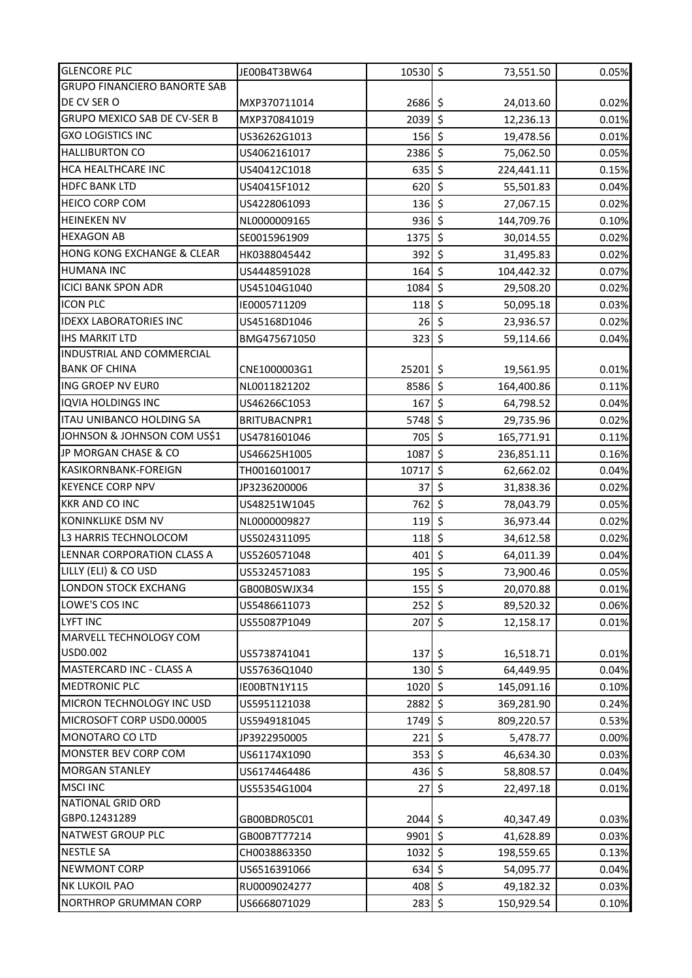| <b>GLENCORE PLC</b>                 | JE00B4T3BW64 | $10530$ \$                                  | 73,551.50                         | 0.05% |
|-------------------------------------|--------------|---------------------------------------------|-----------------------------------|-------|
| <b>GRUPO FINANCIERO BANORTE SAB</b> |              |                                             |                                   |       |
| DE CV SER O                         | MXP370711014 | 2686 \$                                     | 24,013.60                         | 0.02% |
| <b>GRUPO MEXICO SAB DE CV-SER B</b> | MXP370841019 | $2039$ \$                                   | 12,236.13                         | 0.01% |
| <b>GXO LOGISTICS INC</b>            | US36262G1013 | $156$ \$                                    | 19,478.56                         | 0.01% |
| <b>HALLIBURTON CO</b>               | US4062161017 | $2386$ \$                                   | 75,062.50                         | 0.05% |
| HCA HEALTHCARE INC                  | US40412C1018 | $635$ \$                                    | 224,441.11                        | 0.15% |
| <b>HDFC BANK LTD</b>                | US40415F1012 | $620$ \$                                    | 55,501.83                         | 0.04% |
| <b>HEICO CORP COM</b>               | US4228061093 | 136                                         | \$<br>27,067.15                   | 0.02% |
| <b>HEINEKEN NV</b>                  | NL0000009165 | $936$ \$                                    | 144,709.76                        | 0.10% |
| <b>HEXAGON AB</b>                   | SE0015961909 | 1375                                        | $\boldsymbol{\zeta}$<br>30,014.55 | 0.02% |
| HONG KONG EXCHANGE & CLEAR          | HK0388045442 | 392                                         | $\zeta$<br>31,495.83              | 0.02% |
| <b>HUMANA INC</b>                   | US4448591028 | 164                                         | $\zeta$<br>104,442.32             | 0.07% |
| <b>ICICI BANK SPON ADR</b>          | US45104G1040 | 1084                                        | \$<br>29,508.20                   | 0.02% |
| <b>ICON PLC</b>                     | IE0005711209 | 118                                         | \$<br>50,095.18                   | 0.03% |
| <b>IDEXX LABORATORIES INC</b>       | US45168D1046 | 26                                          | \$<br>23,936.57                   | 0.02% |
| <b>IHS MARKIT LTD</b>               | BMG475671050 | 323                                         | $\zeta$<br>59,114.66              | 0.04% |
| INDUSTRIAL AND COMMERCIAL           |              |                                             |                                   |       |
| <b>BANK OF CHINA</b>                | CNE1000003G1 | 25201                                       | \$<br>19,561.95                   | 0.01% |
| ING GROEP NV EURO                   | NL0011821202 | 8586 \$                                     | 164,400.86                        | 0.11% |
| <b>IQVIA HOLDINGS INC</b>           | US46266C1053 | $167$ \$                                    | 64,798.52                         | 0.04% |
| <b>ITAU UNIBANCO HOLDING SA</b>     | BRITUBACNPR1 | $5748$ \$                                   | 29,735.96                         | 0.02% |
| JOHNSON & JOHNSON COM US\$1         | US4781601046 | 705 \$                                      | 165,771.91                        | 0.11% |
| JP MORGAN CHASE & CO                | US46625H1005 | 1087                                        | \$<br>236,851.11                  | 0.16% |
| KASIKORNBANK-FOREIGN                | TH0016010017 | 10717                                       | $\zeta$<br>62,662.02              | 0.04% |
| <b>KEYENCE CORP NPV</b>             | JP3236200006 | 37                                          | $\zeta$<br>31,838.36              | 0.02% |
| <b>KKR AND CO INC</b>               | US48251W1045 | 762                                         | $\zeta$<br>78,043.79              | 0.05% |
| KONINKLIJKE DSM NV                  | NL0000009827 | $119$ \$                                    | 36,973.44                         | 0.02% |
| L3 HARRIS TECHNOLOCOM               | US5024311095 | 118                                         | \$<br>34,612.58                   | 0.02% |
| LENNAR CORPORATION CLASS A          | US5260571048 | 401                                         | $\zeta$<br>64,011.39              | 0.04% |
| LILLY (ELI) & CO USD                | US5324571083 | $195$ \$                                    | 73,900.46                         | 0.05% |
| <b>LONDON STOCK EXCHANG</b>         | GB00B0SWJX34 | $155$ \$                                    | 20,070.88                         | 0.01% |
| LOWE'S COS INC                      | US5486611073 | 252                                         | $\zeta$<br>89,520.32              | 0.06% |
| <b>LYFT INC</b>                     | US55087P1049 | 207                                         | \$<br>12,158.17                   | 0.01% |
| MARVELL TECHNOLOGY COM              |              |                                             |                                   |       |
| USD0.002                            | US5738741041 | 137                                         | \$<br>16,518.71                   | 0.01% |
| <b>MASTERCARD INC - CLASS A</b>     | US57636Q1040 | 130                                         | \$<br>64,449.95                   | 0.04% |
| <b>MEDTRONIC PLC</b>                | IE00BTN1Y115 | 1020                                        | \$<br>145,091.16                  | 0.10% |
| MICRON TECHNOLOGY INC USD           | US5951121038 | 2882                                        | $\zeta$<br>369,281.90             | 0.24% |
| MICROSOFT CORP USD0.00005           | US5949181045 | 1749                                        | \$<br>809,220.57                  | 0.53% |
| MONOTARO CO LTD                     | JP3922950005 | 221                                         | \$<br>5,478.77                    | 0.00% |
| MONSTER BEV CORP COM                | US61174X1090 | $353$ \$                                    | 46,634.30                         | 0.03% |
| <b>MORGAN STANLEY</b>               | US6174464486 | 436                                         | \$<br>58,808.57                   | 0.04% |
| <b>MSCI INC</b>                     | US55354G1004 | 27                                          | \$<br>22,497.18                   | 0.01% |
| NATIONAL GRID ORD                   |              |                                             |                                   |       |
| GBP0.12431289                       | GB00BDR05C01 | $2044$ \$                                   | 40,347.49                         | 0.03% |
| NATWEST GROUP PLC                   | GB00B7T77214 | $9901$ \$                                   | 41,628.89                         | 0.03% |
| <b>NESTLE SA</b>                    | CH0038863350 | $1032$ \$                                   | 198,559.65                        | 0.13% |
| <b>NEWMONT CORP</b>                 | US6516391066 | $634$ \$                                    | 54,095.77                         | 0.04% |
| <b>NK LUKOIL PAO</b>                | RU0009024277 | $408 \, \frac{\phantom{0}}{\phantom{0}}$ \$ | 49,182.32                         | 0.03% |
| NORTHROP GRUMMAN CORP               | US6668071029 | $283$ \$                                    | 150,929.54                        | 0.10% |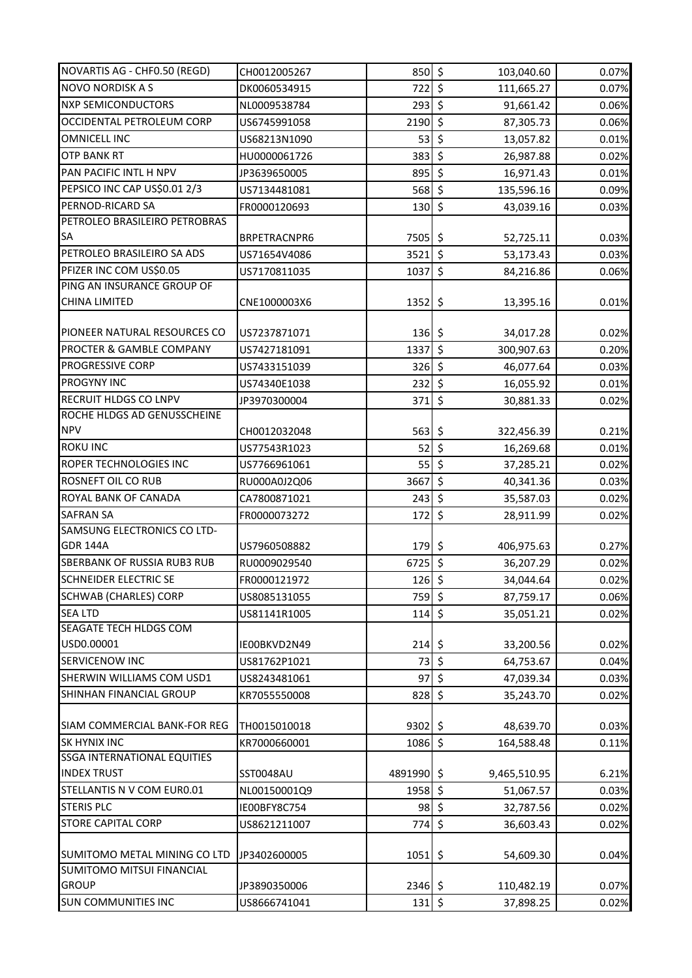| NOVARTIS AG - CHF0.50 (REGD)       | CH0012005267 | $850 \div$     | 103,040.60                                  | 0.07% |
|------------------------------------|--------------|----------------|---------------------------------------------|-------|
| <b>NOVO NORDISK A S</b>            | DK0060534915 | 722 \$         | 111,665.27                                  | 0.07% |
| <b>NXP SEMICONDUCTORS</b>          | NL0009538784 | 293            | \$<br>91,661.42                             | 0.06% |
| <b>OCCIDENTAL PETROLEUM CORP</b>   | US6745991058 | 2190           | $\zeta$<br>87,305.73                        | 0.06% |
| <b>OMNICELL INC</b>                | US68213N1090 | 53             | $\zeta$<br>13,057.82                        | 0.01% |
| <b>OTP BANK RT</b>                 | HU0000061726 | 383            | $\zeta$<br>26,987.88                        | 0.02% |
| PAN PACIFIC INTL H NPV             | JP3639650005 | 895            | $\zeta$<br>16,971.43                        | 0.01% |
| PEPSICO INC CAP US\$0.01 2/3       | US7134481081 | 568            | \$<br>135,596.16                            | 0.09% |
| PERNOD-RICARD SA                   | FR0000120693 | 130            | $\zeta$<br>43,039.16                        | 0.03% |
| PETROLEO BRASILEIRO PETROBRAS      |              |                |                                             |       |
| SA                                 | BRPETRACNPR6 | 7505           | \$<br>52,725.11                             | 0.03% |
| PETROLEO BRASILEIRO SA ADS         | US71654V4086 | 3521           | $\zeta$<br>53,173.43                        | 0.03% |
| PFIZER INC COM US\$0.05            | US7170811035 | 1037           | $\zeta$<br>84,216.86                        | 0.06% |
| PING AN INSURANCE GROUP OF         |              |                |                                             |       |
| <b>CHINA LIMITED</b>               | CNE1000003X6 | $1352 \mid$ \$ | 13,395.16                                   | 0.01% |
| PIONEER NATURAL RESOURCES CO       | US7237871071 | $136 \div$     | 34,017.28                                   | 0.02% |
| PROCTER & GAMBLE COMPANY           | US7427181091 | 1337           | $\zeta$<br>300,907.63                       | 0.20% |
| <b>PROGRESSIVE CORP</b>            | US7433151039 | 326            | $\zeta$<br>46,077.64                        | 0.03% |
| <b>PROGYNY INC</b>                 |              | 232            | \$                                          |       |
| RECRUIT HLDGS CO LNPV              | US74340E1038 |                | 16,055.92<br>$\zeta$                        | 0.01% |
| ROCHE HLDGS AD GENUSSCHEINE        | JP3970300004 | 371            | 30,881.33                                   | 0.02% |
| <b>NPV</b>                         | CH0012032048 | 563            | \$<br>322,456.39                            | 0.21% |
| <b>ROKU INC</b>                    | US77543R1023 | 52             | $\zeta$<br>16,269.68                        | 0.01% |
| ROPER TECHNOLOGIES INC             | US7766961061 | 55             | $\zeta$<br>37,285.21                        | 0.02% |
| ROSNEFT OIL CO RUB                 | RU000A0J2Q06 | 3667           | $\zeta$<br>40,341.36                        | 0.03% |
| ROYAL BANK OF CANADA               | CA7800871021 | 243            | $\zeta$<br>35,587.03                        | 0.02% |
| <b>SAFRAN SA</b>                   |              |                | \$                                          |       |
| SAMSUNG ELECTRONICS CO LTD-        | FR0000073272 | 172            | 28,911.99                                   | 0.02% |
| <b>GDR 144A</b>                    | US7960508882 | 179            | \$<br>406,975.63                            | 0.27% |
| SBERBANK OF RUSSIA RUB3 RUB        | RU0009029540 | 6725           | $\boldsymbol{\dot{\varsigma}}$<br>36,207.29 | 0.02% |
| <b>SCHNEIDER ELECTRIC SE</b>       | FR0000121972 | $126$ \$       |                                             | 0.02% |
| <b>SCHWAB (CHARLES) CORP</b>       |              | $759$ \$       | 34,044.64                                   | 0.06% |
| <b>SEALTD</b>                      | US8085131055 | $114 \,$ \$    | 87,759.17                                   |       |
| SEAGATE TECH HLDGS COM             | US81141R1005 |                | 35,051.21                                   | 0.02% |
| USD0.00001                         | IE00BKVD2N49 | $214 \mid 5$   | 33,200.56                                   | 0.02% |
| SERVICENOW INC                     | US81762P1021 | 73             | $\zeta$<br>64,753.67                        | 0.04% |
| SHERWIN WILLIAMS COM USD1          | US8243481061 | 97             | $\zeta$<br>47,039.34                        | 0.03% |
| SHINHAN FINANCIAL GROUP            | KR7055550008 | 828            | $\zeta$<br>35,243.70                        | 0.02% |
|                                    |              |                |                                             |       |
| SIAM COMMERCIAL BANK-FOR REG       | TH0015010018 | $9302 \mid 5$  | 48,639.70                                   | 0.03% |
| <b>SK HYNIX INC</b>                | KR7000660001 | 1086 \$        | 164,588.48                                  | 0.11% |
| <b>SSGA INTERNATIONAL EQUITIES</b> |              |                |                                             |       |
| <b>INDEX TRUST</b>                 | SST0048AU    | 4891990 \$     | 9,465,510.95                                | 6.21% |
| STELLANTIS N V COM EUR0.01         | NL00150001Q9 | 1958           | $\zeta$<br>51,067.57                        | 0.03% |
| <b>STERIS PLC</b>                  | IE00BFY8C754 | 98             | \$<br>32,787.56                             | 0.02% |
| <b>STORE CAPITAL CORP</b>          | US8621211007 | $774$ \$       | 36,603.43                                   | 0.02% |
|                                    |              |                |                                             |       |
| SUMITOMO METAL MINING CO LTD       | JP3402600005 | $1051$ \$      | 54,609.30                                   | 0.04% |
| SUMITOMO MITSUI FINANCIAL          |              |                |                                             |       |
| <b>GROUP</b>                       | JP3890350006 | $2346$ \$      | 110,482.19                                  | 0.07% |
| <b>SUN COMMUNITIES INC</b>         | US8666741041 | $131 \mid 5$   | 37,898.25                                   | 0.02% |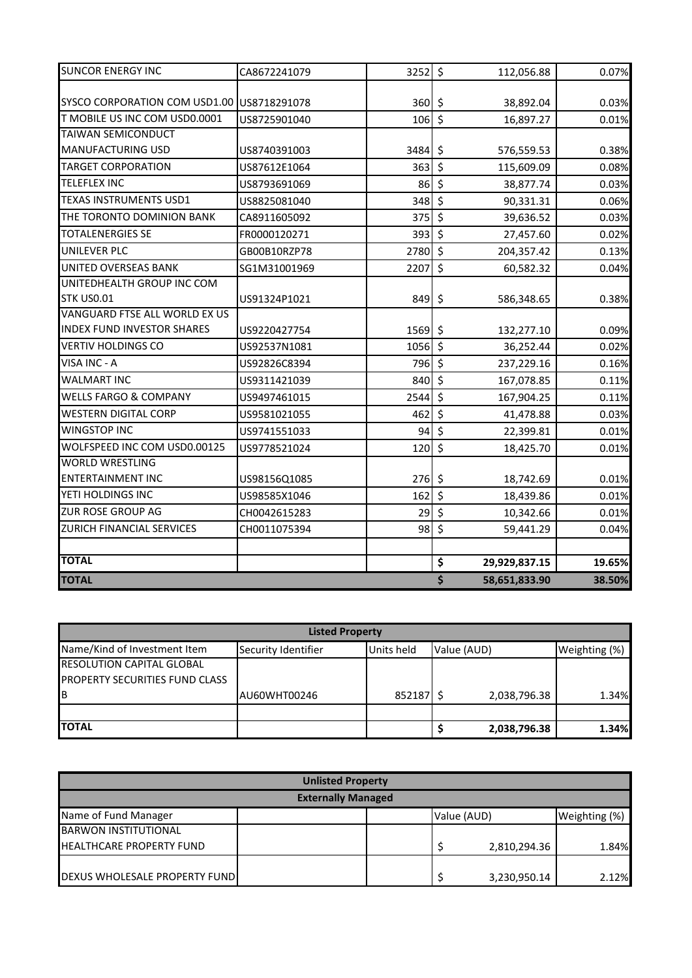| <b>SUNCOR ENERGY INC</b>                   | CA8672241079 | $3252$ \$      |         | 112,056.88    | 0.07%  |
|--------------------------------------------|--------------|----------------|---------|---------------|--------|
| SYSCO CORPORATION COM USD1.00 US8718291078 |              |                |         |               |        |
|                                            |              | $360 \mid 5$   |         | 38,892.04     | 0.03%  |
| T MOBILE US INC COM USD0.0001              | US8725901040 | $106$ \$       |         | 16,897.27     | 0.01%  |
| TAIWAN SEMICONDUCT                         |              |                |         |               |        |
| <b>MANUFACTURING USD</b>                   | US8740391003 | 3484 \$        |         | 576,559.53    | 0.38%  |
| <b>TARGET CORPORATION</b>                  | US87612E1064 | $363$ \$       |         | 115,609.09    | 0.08%  |
| <b>TELEFLEX INC</b>                        | US8793691069 | $86 \div$      |         | 38,877.74     | 0.03%  |
| TEXAS INSTRUMENTS USD1                     | US8825081040 | $348$ \$       |         | 90,331.31     | 0.06%  |
| THE TORONTO DOMINION BANK                  | CA8911605092 | $375$ \$       |         | 39,636.52     | 0.03%  |
| <b>TOTALENERGIES SE</b>                    | FR0000120271 | $393$ \$       |         | 27,457.60     | 0.02%  |
| UNILEVER PLC                               | GB00B10RZP78 | 2780 \$        |         | 204,357.42    | 0.13%  |
| UNITED OVERSEAS BANK                       | SG1M31001969 | 2207           | $\zeta$ | 60,582.32     | 0.04%  |
| UNITEDHEALTH GROUP INC COM                 |              |                |         |               |        |
| <b>STK US0.01</b>                          | US91324P1021 | $849 \mid 5$   |         | 586,348.65    | 0.38%  |
| VANGUARD FTSE ALL WORLD EX US              |              |                |         |               |        |
| <b>INDEX FUND INVESTOR SHARES</b>          | US9220427754 | $1569$ \$      |         | 132,277.10    | 0.09%  |
| <b>VERTIV HOLDINGS CO</b>                  | US92537N1081 | $1056$ \$      |         | 36,252.44     | 0.02%  |
| VISA INC - A                               | US92826C8394 | $796$ \$       |         | 237,229.16    | 0.16%  |
| <b>WALMART INC</b>                         | US9311421039 | $840$ \$       |         | 167,078.85    | 0.11%  |
| <b>WELLS FARGO &amp; COMPANY</b>           | US9497461015 | $2544$ \$      |         | 167,904.25    | 0.11%  |
| <b>WESTERN DIGITAL CORP</b>                | US9581021055 | 462            | $\zeta$ | 41,478.88     | 0.03%  |
| <b>WINGSTOP INC</b>                        | US9741551033 | 94             | $\zeta$ | 22,399.81     | 0.01%  |
| WOLFSPEED INC COM USD0.00125               | US9778521024 | $120 \mid \xi$ |         | 18,425.70     | 0.01%  |
| <b>WORLD WRESTLING</b>                     |              |                |         |               |        |
| <b>ENTERTAINMENT INC</b>                   | US98156Q1085 | $276$ \$       |         | 18,742.69     | 0.01%  |
| YETI HOLDINGS INC                          | US98585X1046 | 162            | $\zeta$ | 18,439.86     | 0.01%  |
| ZUR ROSE GROUP AG                          | CH0042615283 | 29             | $\zeta$ | 10,342.66     | 0.01%  |
| ZURICH FINANCIAL SERVICES                  | CH0011075394 | $98$ \$        |         | 59,441.29     | 0.04%  |
| <b>TOTAL</b>                               |              |                |         |               |        |
|                                            |              |                | \$      | 29,929,837.15 | 19.65% |
| <b>TOTAL</b>                               |              |                | \$      | 58,651,833.90 | 38.50% |

| <b>Listed Property</b>                |                     |            |              |               |  |
|---------------------------------------|---------------------|------------|--------------|---------------|--|
| Name/Kind of Investment Item          | Security Identifier | Units held | Value (AUD)  | Weighting (%) |  |
| <b>RESOLUTION CAPITAL GLOBAL</b>      |                     |            |              |               |  |
| <b>PROPERTY SECURITIES FUND CLASS</b> |                     |            |              |               |  |
| IΒ                                    | AU60WHT00246        | 85218719   | 2,038,796.38 | 1.34%         |  |
|                                       |                     |            |              |               |  |
| <b>TOTAL</b>                          |                     |            | 2,038,796.38 | 1.34%         |  |

| <b>Unlisted Property</b><br><b>Externally Managed</b> |              |       |  |  |
|-------------------------------------------------------|--------------|-------|--|--|
|                                                       |              |       |  |  |
| <b>BARWON INSTITUTIONAL</b>                           |              |       |  |  |
| <b>HEALTHCARE PROPERTY FUND</b>                       | 2,810,294.36 | 1.84% |  |  |
|                                                       |              |       |  |  |
| DEXUS WHOLESALE PROPERTY FUND                         | 3,230,950.14 | 2.12% |  |  |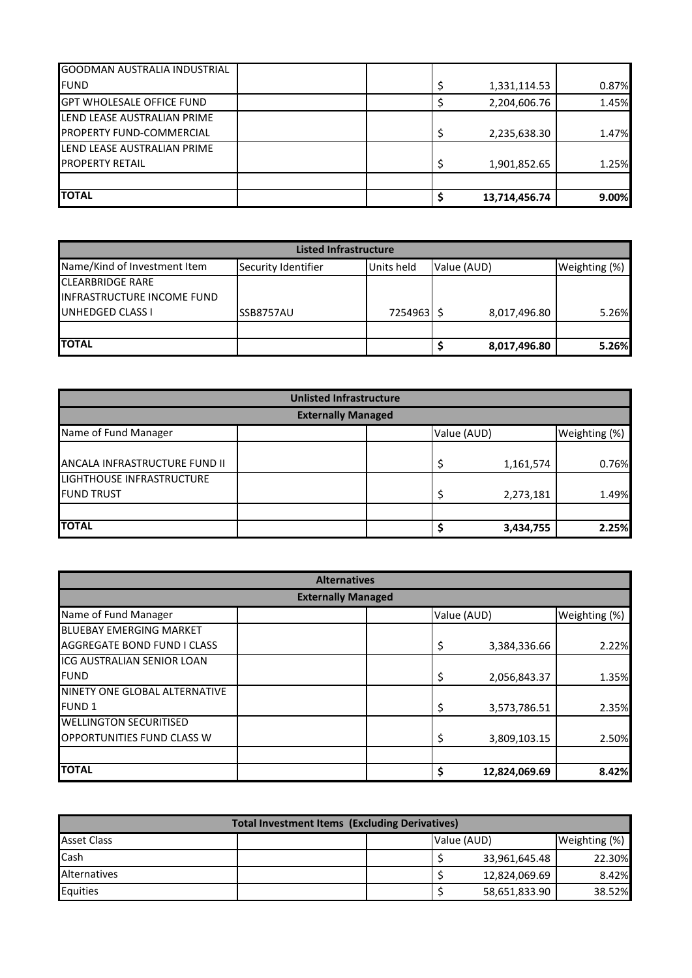| <b>TOTAL</b>                        | 13,714,456.74 | 9.00% |
|-------------------------------------|---------------|-------|
|                                     |               |       |
| <b>PROPERTY RETAIL</b>              | 1,901,852.65  | 1.25% |
| LEND LEASE AUSTRALIAN PRIME         |               |       |
| <b>PROPERTY FUND-COMMERCIAL</b>     | 2,235,638.30  | 1.47% |
| LEND LEASE AUSTRALIAN PRIME         |               |       |
| <b>GPT WHOLESALE OFFICE FUND</b>    | 2,204,606.76  | 1.45% |
| <b>FUND</b>                         | 1,331,114.53  | 0.87% |
| <b>GOODMAN AUSTRALIA INDUSTRIAL</b> |               |       |

| <b>Listed Infrastructure</b>      |                     |            |              |               |  |  |
|-----------------------------------|---------------------|------------|--------------|---------------|--|--|
| Name/Kind of Investment Item      | Security Identifier | Units held | Value (AUD)  | Weighting (%) |  |  |
| <b>CLEARBRIDGE RARE</b>           |                     |            |              |               |  |  |
| <b>INFRASTRUCTURE INCOME FUND</b> |                     |            |              |               |  |  |
| UNHEDGED CLASS I                  | SSB8757AU           | 72549631   | 8,017,496.80 | 5.26%         |  |  |
|                                   |                     |            |              |               |  |  |
| <b>TOTAL</b>                      |                     |            | 8,017,496.80 | 5.26%         |  |  |

| <b>Unlisted Infrastructure</b> |  |             |           |               |  |
|--------------------------------|--|-------------|-----------|---------------|--|
| <b>Externally Managed</b>      |  |             |           |               |  |
| Name of Fund Manager           |  | Value (AUD) |           | Weighting (%) |  |
|                                |  |             |           |               |  |
| ANCALA INFRASTRUCTURE FUND II  |  |             | 1,161,574 | 0.76%         |  |
| LIGHTHOUSE INFRASTRUCTURE      |  |             |           |               |  |
| <b>FUND TRUST</b>              |  |             | 2,273,181 | 1.49%         |  |
|                                |  |             |           |               |  |
| <b>TOTAL</b>                   |  |             | 3,434,755 | 2.25%         |  |

| <b>Alternatives</b>               |                     |               |  |  |  |  |
|-----------------------------------|---------------------|---------------|--|--|--|--|
| <b>Externally Managed</b>         |                     |               |  |  |  |  |
| Name of Fund Manager              | Value (AUD)         | Weighting (%) |  |  |  |  |
| <b>BLUEBAY EMERGING MARKET</b>    |                     |               |  |  |  |  |
| AGGREGATE BOND FUND I CLASS       | \$<br>3,384,336.66  | 2.22%         |  |  |  |  |
| <b>ICG AUSTRALIAN SENIOR LOAN</b> |                     |               |  |  |  |  |
| <b>FUND</b>                       | \$<br>2,056,843.37  | 1.35%         |  |  |  |  |
| NINETY ONE GLOBAL ALTERNATIVE     |                     |               |  |  |  |  |
| <b>FUND 1</b>                     | \$<br>3,573,786.51  | 2.35%         |  |  |  |  |
| <b>WELLINGTON SECURITISED</b>     |                     |               |  |  |  |  |
| OPPORTUNITIES FUND CLASS W        | \$<br>3,809,103.15  | 2.50%         |  |  |  |  |
|                                   |                     |               |  |  |  |  |
| <b>TOTAL</b>                      | \$<br>12,824,069.69 | 8.42%         |  |  |  |  |

| <b>Total Investment Items (Excluding Derivatives)</b> |  |  |             |               |               |
|-------------------------------------------------------|--|--|-------------|---------------|---------------|
| <b>Asset Class</b>                                    |  |  | Value (AUD) |               | Weighting (%) |
| Cash                                                  |  |  |             | 33,961,645.48 | 22.30%        |
| Alternatives                                          |  |  |             | 12,824,069.69 | 8.42%         |
| Equities                                              |  |  |             | 58,651,833.90 | 38.52%        |